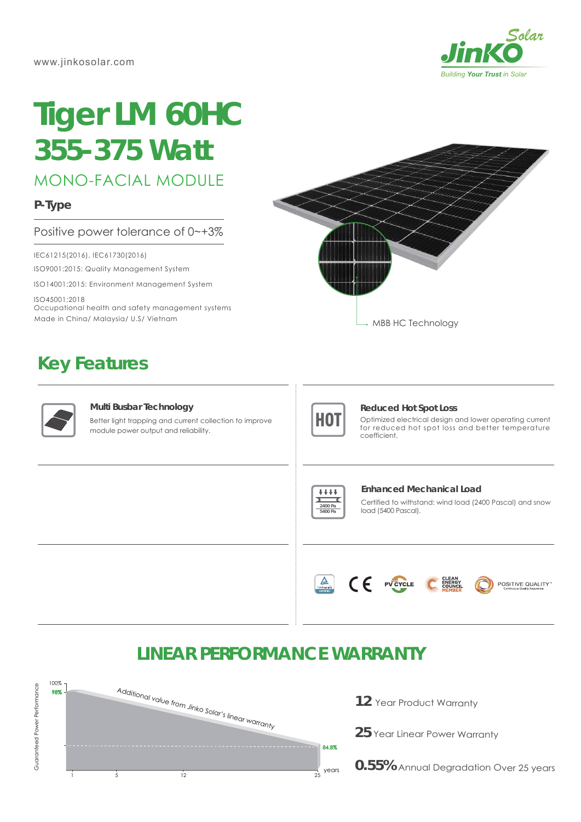

# **Tiger LM 60HC** *355-375 Watt*

MONO-FACIAL MODULE

**P-Type**

### Positive power tolerance of 0~+3%

IEC61215(2016), IEC61730(2016)

ISO9001:2015: Quality Management System

ISO14001:2015: Environment Management System

ISO45001:2018 Occupational health and safety management systems Made in China/ Malaysia/ U.S/ Vietnam

## **Key Features**



#### **Multi Busbar Technology**

Better light trapping and current collection to improve module power output and reliability.





#### **Reduced Hot Spot Loss**

Optimized electrical design and lower operating current for reduced hot spot loss and better temperature coefficient.



#### **Enhanced Mechanical Load**

Certified to withstand: wind load (2400 Pascal) and snow load (5400 Pascal).



## **LINEAR PERFORMANCE WARRANTY**



**12** Year Product Warranty

**25** Year Linear Power Warranty

**0.55%** Annual Degradation Over 25 years